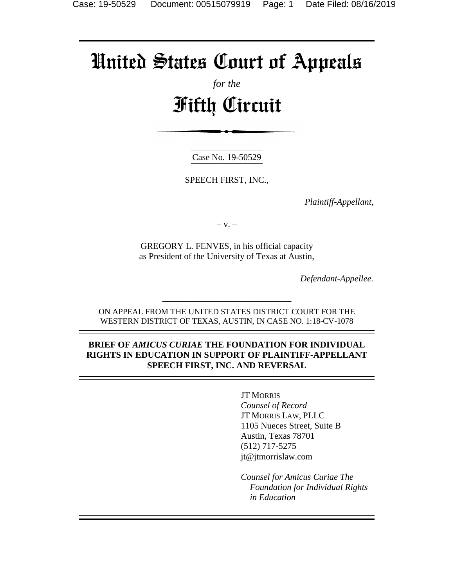# United States Court of Appeals

## *for the* Fifth Circuit

Case No. 19-50529

SPEECH FIRST, INC.,

*Plaintiff-Appellant,*

 $-$  V.  $-$ 

GREGORY L. FENVES, in his official capacity as President of the University of Texas at Austin,

*Defendant-Appellee.*

ON APPEAL FROM THE UNITED STATES DISTRICT COURT FOR THE WESTERN DISTRICT OF TEXAS, AUSTIN, IN CASE NO. 1:18-CV-1078

\_\_\_\_\_\_\_\_\_\_\_\_\_\_\_\_\_\_\_\_\_\_\_\_\_\_\_\_\_

#### **BRIEF OF** *AMICUS CURIAE* **THE FOUNDATION FOR INDIVIDUAL RIGHTS IN EDUCATION IN SUPPORT OF PLAINTIFF-APPELLANT SPEECH FIRST, INC. AND REVERSAL**

JT MORRIS *Counsel of Record* JT MORRIS LAW, PLLC 1105 Nueces Street, Suite B Austin, Texas 78701 (512) 717-5275 jt@jtmorrislaw.com

*Counsel for Amicus Curiae The Foundation for Individual Rights in Education*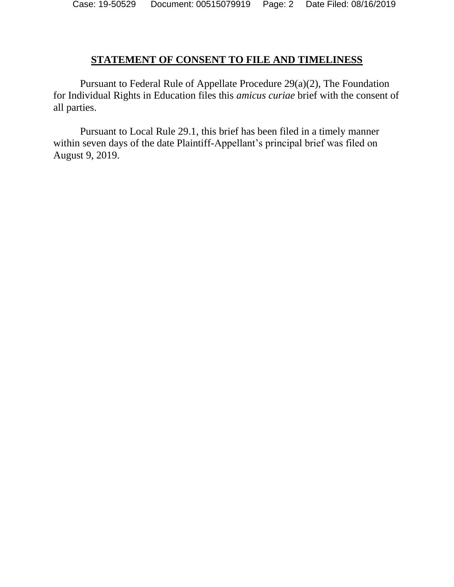#### **STATEMENT OF CONSENT TO FILE AND TIMELINESS**

Pursuant to Federal Rule of Appellate Procedure 29(a)(2), The Foundation for Individual Rights in Education files this *amicus curiae* brief with the consent of all parties.

Pursuant to Local Rule 29.1, this brief has been filed in a timely manner within seven days of the date Plaintiff-Appellant's principal brief was filed on August 9, 2019.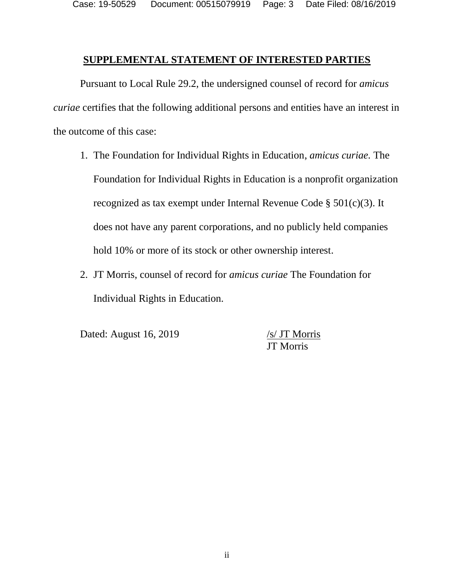Case: 19-50529 Document: 00515079919 Page: 3 Date Filed: 08/16/2019

#### **SUPPLEMENTAL STATEMENT OF INTERESTED PARTIES**

Pursuant to Local Rule 29.2, the undersigned counsel of record for *amicus curiae* certifies that the following additional persons and entities have an interest in the outcome of this case:

- 1. The Foundation for Individual Rights in Education, *amicus curiae.* The Foundation for Individual Rights in Education is a nonprofit organization recognized as tax exempt under Internal Revenue Code § 501(c)(3). It does not have any parent corporations, and no publicly held companies hold 10% or more of its stock or other ownership interest.
- 2. JT Morris, counsel of record for *amicus curiae* The Foundation for Individual Rights in Education.

Dated: August 16, 2019 /s/ JT Morris

JT Morris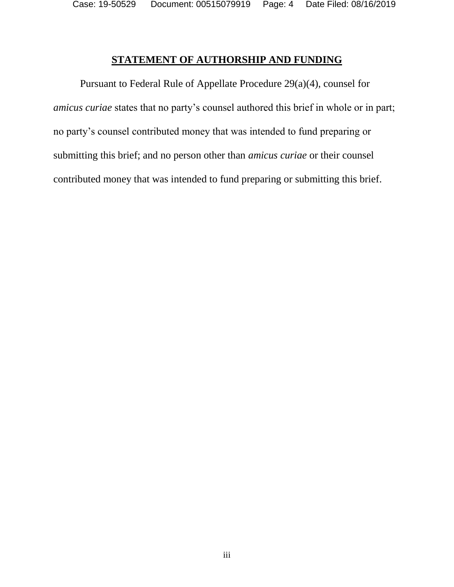Case: 19-50529 Document: 00515079919 Page: 4 Date Filed: 08/16/2019

#### **STATEMENT OF AUTHORSHIP AND FUNDING**

Pursuant to Federal Rule of Appellate Procedure 29(a)(4), counsel for *amicus curiae* states that no party's counsel authored this brief in whole or in part; no party's counsel contributed money that was intended to fund preparing or submitting this brief; and no person other than *amicus curiae* or their counsel contributed money that was intended to fund preparing or submitting this brief.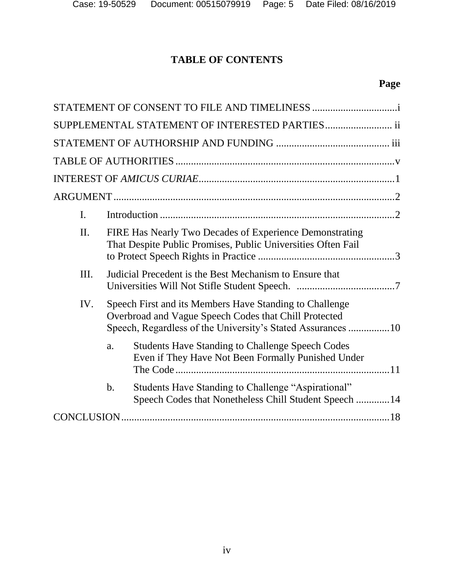## **TABLE OF CONTENTS**

## **Page**

|                | SUPPLEMENTAL STATEMENT OF INTERESTED PARTIES ii                                                                                                                                 |  |
|----------------|---------------------------------------------------------------------------------------------------------------------------------------------------------------------------------|--|
|                |                                                                                                                                                                                 |  |
|                |                                                                                                                                                                                 |  |
|                |                                                                                                                                                                                 |  |
|                |                                                                                                                                                                                 |  |
| $\mathbf{I}$ . |                                                                                                                                                                                 |  |
| II.            | FIRE Has Nearly Two Decades of Experience Demonstrating<br>That Despite Public Promises, Public Universities Often Fail                                                         |  |
| III.           | Judicial Precedent is the Best Mechanism to Ensure that                                                                                                                         |  |
| IV.            | Speech First and its Members Have Standing to Challenge<br>Overbroad and Vague Speech Codes that Chill Protected<br>Speech, Regardless of the University's Stated Assurances 10 |  |
|                | <b>Students Have Standing to Challenge Speech Codes</b><br>a.<br>Even if They Have Not Been Formally Punished Under                                                             |  |
|                | Students Have Standing to Challenge "Aspirational"<br>$\mathbf b$ .<br>Speech Codes that Nonetheless Chill Student Speech  14                                                   |  |
|                |                                                                                                                                                                                 |  |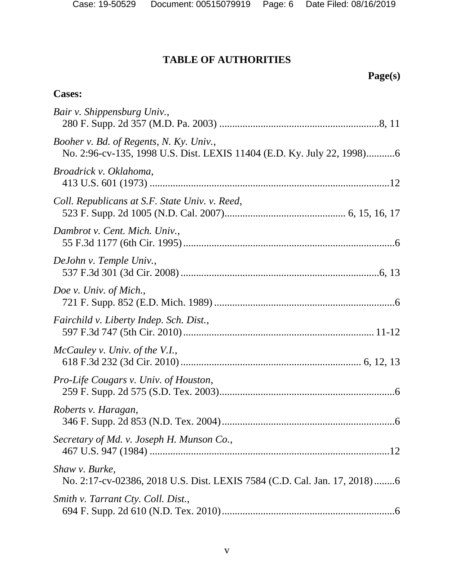## **TABLE OF AUTHORITIES**

## **Page(s)**

## **Cases:**

| Bair v. Shippensburg Univ.,                                                                                       |
|-------------------------------------------------------------------------------------------------------------------|
| Booher v. Bd. of Regents, N. Ky. Univ.,<br>No. 2:96-cv-135, 1998 U.S. Dist. LEXIS 11404 (E.D. Ky. July 22, 1998)6 |
| Broadrick v. Oklahoma,                                                                                            |
| Coll. Republicans at S.F. State Univ. v. Reed,                                                                    |
| Dambrot v. Cent. Mich. Univ.,                                                                                     |
| DeJohn v. Temple Univ.,                                                                                           |
| Doe v. Univ. of Mich.,                                                                                            |
| Fairchild v. Liberty Indep. Sch. Dist.,                                                                           |
| McCauley v. Univ. of the V.I.,                                                                                    |
| Pro-Life Cougars v. Univ. of Houston,                                                                             |
| Roberts v. Haragan,                                                                                               |
| Secretary of Md. v. Joseph H. Munson Co.,                                                                         |
| Shaw v. Burke,<br>No. 2:17-cv-02386, 2018 U.S. Dist. LEXIS 7584 (C.D. Cal. Jan. 17, 2018)6                        |
| Smith v. Tarrant Cty. Coll. Dist.,                                                                                |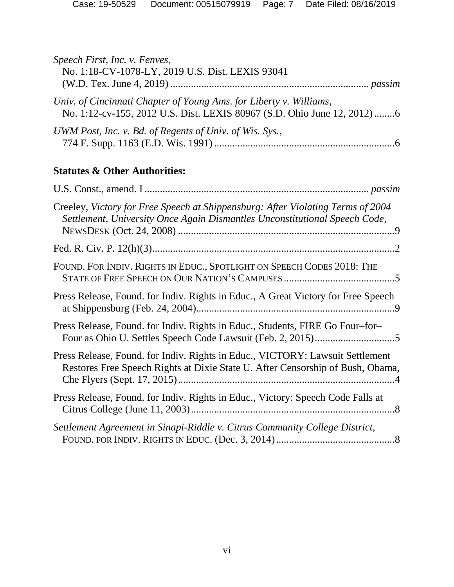| Speech First, Inc. v. Fenves,<br>No. 1:18-CV-1078-LY, 2019 U.S. Dist. LEXIS 93041                                                                               |
|-----------------------------------------------------------------------------------------------------------------------------------------------------------------|
| Univ. of Cincinnati Chapter of Young Ams. for Liberty v. Williams,<br>No. 1:12-cv-155, 2012 U.S. Dist. LEXIS 80967 (S.D. Ohio June 12, 2012)6                   |
| UWM Post, Inc. v. Bd. of Regents of Univ. of Wis. Sys.,                                                                                                         |
| <b>Statutes &amp; Other Authorities:</b>                                                                                                                        |
|                                                                                                                                                                 |
| Creeley, Victory for Free Speech at Shippensburg: After Violating Terms of 2004<br>Settlement, University Once Again Dismantles Unconstitutional Speech Code,   |
|                                                                                                                                                                 |
| FOUND. FOR INDIV. RIGHTS IN EDUC., SPOTLIGHT ON SPEECH CODES 2018: THE                                                                                          |
| Press Release, Found. for Indiv. Rights in Educ., A Great Victory for Free Speech                                                                               |
| Press Release, Found. for Indiv. Rights in Educ., Students, FIRE Go Four-for-                                                                                   |
| Press Release, Found. for Indiv. Rights in Educ., VICTORY: Lawsuit Settlement<br>Restores Free Speech Rights at Dixie State U. After Censorship of Bush, Obama, |
| Press Release, Found. for Indiv. Rights in Educ., Victory: Speech Code Falls at                                                                                 |
| Settlement Agreement in Sinapi-Riddle v. Citrus Community College District,                                                                                     |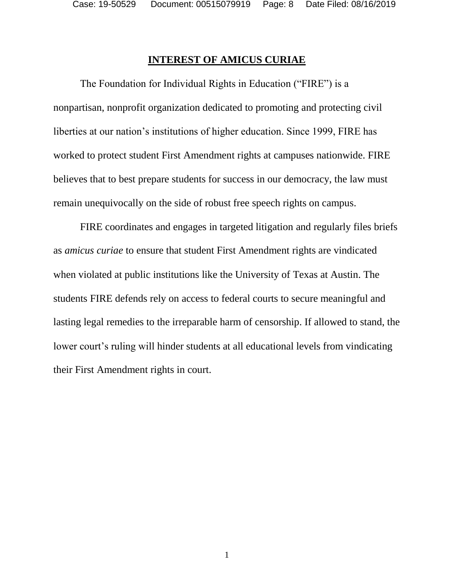#### **INTEREST OF AMICUS CURIAE**

The Foundation for Individual Rights in Education ("FIRE") is a nonpartisan, nonprofit organization dedicated to promoting and protecting civil liberties at our nation's institutions of higher education. Since 1999, FIRE has worked to protect student First Amendment rights at campuses nationwide. FIRE believes that to best prepare students for success in our democracy, the law must remain unequivocally on the side of robust free speech rights on campus.

FIRE coordinates and engages in targeted litigation and regularly files briefs as *amicus curiae* to ensure that student First Amendment rights are vindicated when violated at public institutions like the University of Texas at Austin. The students FIRE defends rely on access to federal courts to secure meaningful and lasting legal remedies to the irreparable harm of censorship. If allowed to stand, the lower court's ruling will hinder students at all educational levels from vindicating their First Amendment rights in court.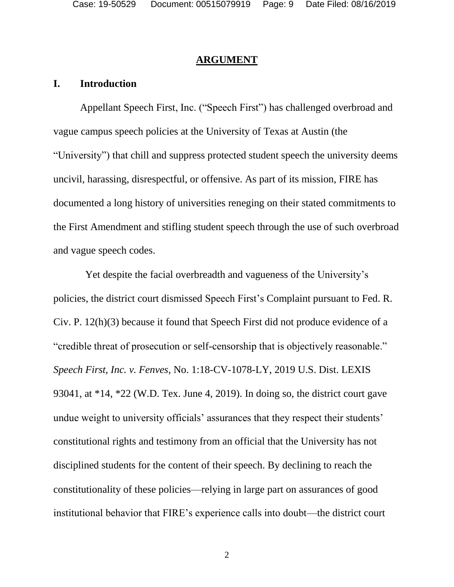#### **ARGUMENT**

#### **I. Introduction**

Appellant Speech First, Inc. ("Speech First") has challenged overbroad and vague campus speech policies at the University of Texas at Austin (the "University") that chill and suppress protected student speech the university deems uncivil, harassing, disrespectful, or offensive. As part of its mission, FIRE has documented a long history of universities reneging on their stated commitments to the First Amendment and stifling student speech through the use of such overbroad and vague speech codes.

 Yet despite the facial overbreadth and vagueness of the University's policies, the district court dismissed Speech First's Complaint pursuant to Fed. R. Civ. P. 12(h)(3) because it found that Speech First did not produce evidence of a "credible threat of prosecution or self-censorship that is objectively reasonable." *Speech First, Inc. v. Fenves*, No. 1:18-CV-1078-LY, 2019 U.S. Dist. LEXIS 93041, at \*14, \*22 (W.D. Tex. June 4, 2019). In doing so, the district court gave undue weight to university officials' assurances that they respect their students' constitutional rights and testimony from an official that the University has not disciplined students for the content of their speech. By declining to reach the constitutionality of these policies—relying in large part on assurances of good institutional behavior that FIRE's experience calls into doubt—the district court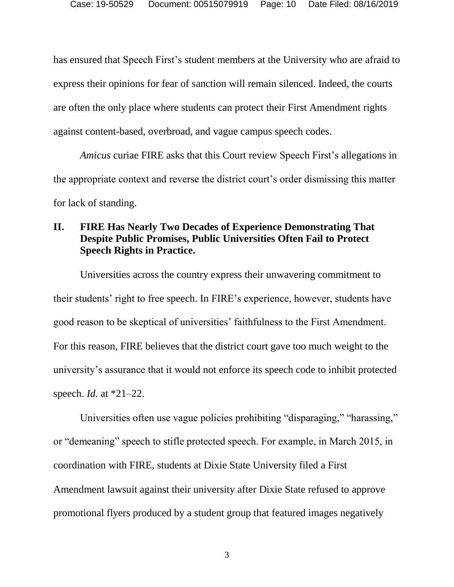has ensured that Speech First's student members at the University who are afraid to express their opinions for fear of sanction will remain silenced. Indeed, the courts are often the only place where students can protect their First Amendment rights against content-based, overbroad, and vague campus speech codes.

*Amicus* curiae FIRE asks that this Court review Speech First's allegations in the appropriate context and reverse the district court's order dismissing this matter for lack of standing.

#### **II. FIRE Has Nearly Two Decades of Experience Demonstrating That Despite Public Promises, Public Universities Often Fail to Protect Speech Rights in Practice.**

Universities across the country express their unwavering commitment to their students' right to free speech. In FIRE's experience, however, students have good reason to be skeptical of universities' faithfulness to the First Amendment. For this reason, FIRE believes that the district court gave too much weight to the university's assurance that it would not enforce its speech code to inhibit protected speech. *Id.* at \*21–22.

Universities often use vague policies prohibiting "disparaging," "harassing," or "demeaning" speech to stifle protected speech. For example, in March 2015, in coordination with FIRE, students at Dixie State University filed a First Amendment lawsuit against their university after Dixie State refused to approve promotional flyers produced by a student group that featured images negatively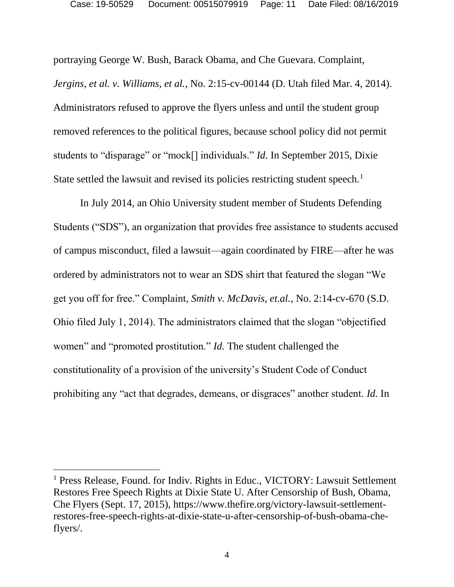portraying George W. Bush, Barack Obama, and Che Guevara. Complaint, *Jergins, et al. v. Williams, et al.*, No. 2:15-cv-00144 (D. Utah filed Mar. 4, 2014). Administrators refused to approve the flyers unless and until the student group removed references to the political figures, because school policy did not permit students to "disparage" or "mock[] individuals." *Id.* In September 2015, Dixie State settled the lawsuit and revised its policies restricting student speech.<sup>1</sup>

In July 2014, an Ohio University student member of Students Defending Students ("SDS"), an organization that provides free assistance to students accused of campus misconduct, filed a lawsuit—again coordinated by FIRE—after he was ordered by administrators not to wear an SDS shirt that featured the slogan "We get you off for free." Complaint, *Smith v. McDavis, et.al.*, No. 2:14-cv-670 (S.D. Ohio filed July 1, 2014). The administrators claimed that the slogan "objectified women" and "promoted prostitution." *Id.* The student challenged the constitutionality of a provision of the university's Student Code of Conduct prohibiting any "act that degrades, demeans, or disgraces" another student. *Id.* In

<sup>&</sup>lt;sup>1</sup> Press Release, Found. for Indiv. Rights in Educ., VICTORY: Lawsuit Settlement Restores Free Speech Rights at Dixie State U. After Censorship of Bush, Obama, Che Flyers (Sept. 17, 2015), https://www.thefire.org/victory-lawsuit-settlementrestores-free-speech-rights-at-dixie-state-u-after-censorship-of-bush-obama-cheflyers/.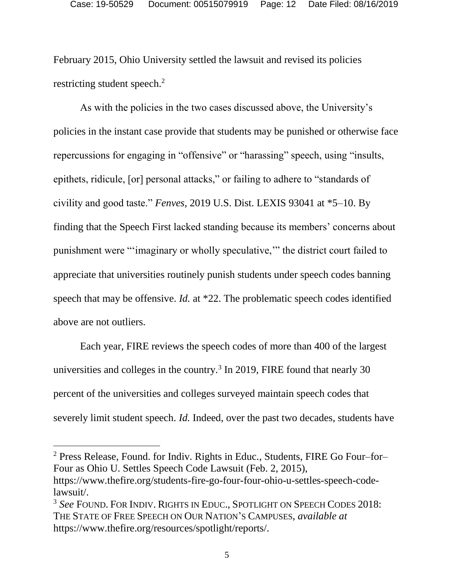February 2015, Ohio University settled the lawsuit and revised its policies restricting student speech. $2$ 

As with the policies in the two cases discussed above, the University's policies in the instant case provide that students may be punished or otherwise face repercussions for engaging in "offensive" or "harassing" speech, using "insults, epithets, ridicule, [or] personal attacks," or failing to adhere to "standards of civility and good taste." *Fenves*, 2019 U.S. Dist. LEXIS 93041 at \*5–10. By finding that the Speech First lacked standing because its members' concerns about punishment were "'imaginary or wholly speculative,'" the district court failed to appreciate that universities routinely punish students under speech codes banning speech that may be offensive. *Id.* at \*22. The problematic speech codes identified above are not outliers.

Each year, FIRE reviews the speech codes of more than 400 of the largest universities and colleges in the country.<sup>3</sup> In 2019, FIRE found that nearly 30 percent of the universities and colleges surveyed maintain speech codes that severely limit student speech. *Id.* Indeed, over the past two decades, students have

<sup>2</sup> Press Release, Found. for Indiv. Rights in Educ., Students, FIRE Go Four–for– Four as Ohio U. Settles Speech Code Lawsuit (Feb. 2, 2015), https://www.thefire.org/students-fire-go-four-four-ohio-u-settles-speech-codelawsuit/.

<sup>3</sup> *See* FOUND. FOR INDIV. RIGHTS IN EDUC., SPOTLIGHT ON SPEECH CODES 2018: THE STATE OF FREE SPEECH ON OUR NATION'S CAMPUSES, *available at*  https://www.thefire.org/resources/spotlight/reports/.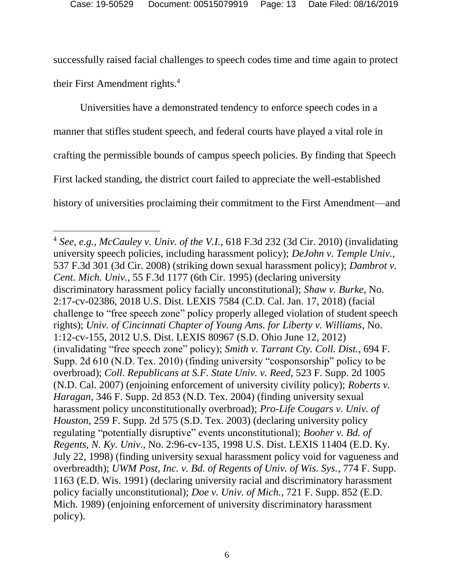successfully raised facial challenges to speech codes time and time again to protect their First Amendment rights.<sup>4</sup>

Universities have a demonstrated tendency to enforce speech codes in a manner that stifles student speech, and federal courts have played a vital role in crafting the permissible bounds of campus speech policies. By finding that Speech First lacked standing, the district court failed to appreciate the well-established history of universities proclaiming their commitment to the First Amendment—and

<sup>4</sup> *See, e.g., McCauley v. Univ. of the V.I.*, 618 F.3d 232 (3d Cir. 2010) (invalidating university speech policies, including harassment policy); *DeJohn v. Temple Univ.*, 537 F.3d 301 (3d Cir. 2008) (striking down sexual harassment policy); *Dambrot v. Cent. Mich. Univ.*, 55 F.3d 1177 (6th Cir. 1995) (declaring university discriminatory harassment policy facially unconstitutional); *Shaw v. Burke*, No. 2:17-cv-02386, 2018 U.S. Dist. LEXIS 7584 (C.D. Cal. Jan. 17, 2018) (facial challenge to "free speech zone" policy properly alleged violation of student speech rights); *Univ. of Cincinnati Chapter of Young Ams. for Liberty v. Williams*, No. 1:12-cv-155, 2012 U.S. Dist. LEXIS 80967 (S.D. Ohio June 12, 2012) (invalidating "free speech zone" policy); *Smith v. Tarrant Cty. Coll. Dist.*, 694 F. Supp. 2d 610 (N.D. Tex. 2010) (finding university "cosponsorship" policy to be overbroad); *Coll. Republicans at S.F. State Univ. v. Reed,* 523 F. Supp. 2d 1005 (N.D. Cal. 2007) (enjoining enforcement of university civility policy); *Roberts v. Haragan*, 346 F. Supp. 2d 853 (N.D. Tex. 2004) (finding university sexual harassment policy unconstitutionally overbroad); *Pro-Life Cougars v. Univ. of Houston*, 259 F. Supp. 2d 575 (S.D. Tex. 2003) (declaring university policy regulating "potentially disruptive" events unconstitutional); *Booher v. Bd. of Regents, N. Ky. Univ.*, No. 2:96-cv-135, 1998 U.S. Dist. LEXIS 11404 (E.D. Ky. July 22, 1998) (finding university sexual harassment policy void for vagueness and overbreadth); *UWM Post, Inc. v. Bd. of Regents of Univ. of Wis. Sys.*, 774 F. Supp. 1163 (E.D. Wis. 1991) (declaring university racial and discriminatory harassment policy facially unconstitutional); *Doe v. Univ. of Mich.*, 721 F. Supp. 852 (E.D. Mich. 1989) (enjoining enforcement of university discriminatory harassment policy).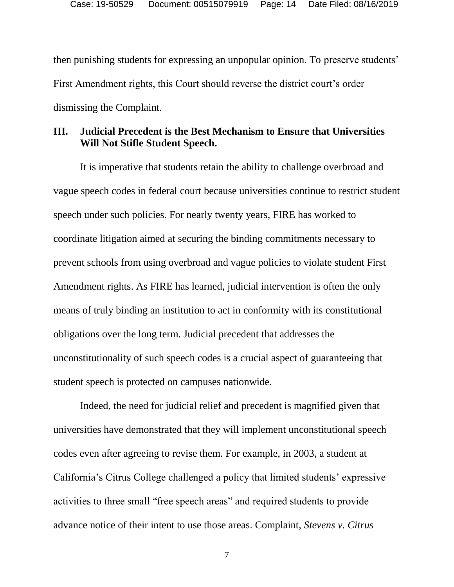then punishing students for expressing an unpopular opinion. To preserve students' First Amendment rights, this Court should reverse the district court's order dismissing the Complaint.

#### **III. Judicial Precedent is the Best Mechanism to Ensure that Universities Will Not Stifle Student Speech.**

It is imperative that students retain the ability to challenge overbroad and vague speech codes in federal court because universities continue to restrict student speech under such policies. For nearly twenty years, FIRE has worked to coordinate litigation aimed at securing the binding commitments necessary to prevent schools from using overbroad and vague policies to violate student First Amendment rights. As FIRE has learned, judicial intervention is often the only means of truly binding an institution to act in conformity with its constitutional obligations over the long term. Judicial precedent that addresses the unconstitutionality of such speech codes is a crucial aspect of guaranteeing that student speech is protected on campuses nationwide.

Indeed, the need for judicial relief and precedent is magnified given that universities have demonstrated that they will implement unconstitutional speech codes even after agreeing to revise them. For example, in 2003, a student at California's Citrus College challenged a policy that limited students' expressive activities to three small "free speech areas" and required students to provide advance notice of their intent to use those areas. Complaint, *Stevens v. Citrus* 

7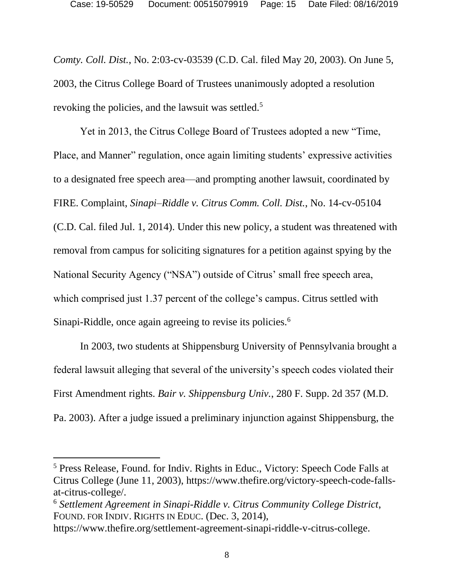*Comty. Coll. Dist.*, No. 2:03-cv-03539 (C.D. Cal. filed May 20, 2003). On June 5, 2003, the Citrus College Board of Trustees unanimously adopted a resolution revoking the policies, and the lawsuit was settled.<sup>5</sup>

Yet in 2013, the Citrus College Board of Trustees adopted a new "Time, Place, and Manner" regulation, once again limiting students' expressive activities to a designated free speech area—and prompting another lawsuit, coordinated by FIRE. Complaint, *Sinapi–Riddle v. Citrus Comm. Coll. Dist.*, No. 14-cv-05104 (C.D. Cal. filed Jul. 1, 2014). Under this new policy, a student was threatened with removal from campus for soliciting signatures for a petition against spying by the National Security Agency ("NSA") outside of Citrus' small free speech area, which comprised just 1.37 percent of the college's campus. Citrus settled with Sinapi-Riddle, once again agreeing to revise its policies.<sup>6</sup>

In 2003, two students at Shippensburg University of Pennsylvania brought a federal lawsuit alleging that several of the university's speech codes violated their First Amendment rights. *Bair v. Shippensburg Univ.*, 280 F. Supp. 2d 357 (M.D. Pa. 2003). After a judge issued a preliminary injunction against Shippensburg, the

<sup>5</sup> Press Release, Found. for Indiv. Rights in Educ., Victory: Speech Code Falls at Citrus College (June 11, 2003), https://www.thefire.org/victory-speech-code-fallsat-citrus-college/.

<sup>6</sup> *Settlement Agreement in Sinapi-Riddle v. Citrus Community College District*, FOUND. FOR INDIV. RIGHTS IN EDUC. (Dec. 3, 2014),

https://www.thefire.org/settlement-agreement-sinapi-riddle-v-citrus-college.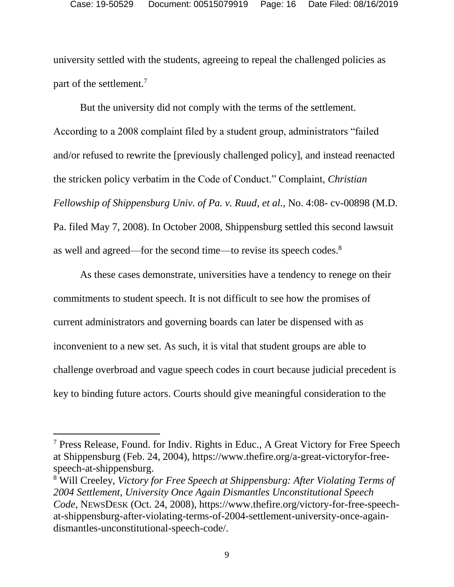university settled with the students, agreeing to repeal the challenged policies as part of the settlement.<sup>7</sup>

But the university did not comply with the terms of the settlement. According to a 2008 complaint filed by a student group, administrators "failed and/or refused to rewrite the [previously challenged policy], and instead reenacted the stricken policy verbatim in the Code of Conduct." Complaint, *Christian Fellowship of Shippensburg Univ. of Pa. v. Ruud, et al.*, No. 4:08- cv-00898 (M.D. Pa. filed May 7, 2008). In October 2008, Shippensburg settled this second lawsuit as well and agreed—for the second time—to revise its speech codes.<sup>8</sup>

As these cases demonstrate, universities have a tendency to renege on their commitments to student speech. It is not difficult to see how the promises of current administrators and governing boards can later be dispensed with as inconvenient to a new set. As such, it is vital that student groups are able to challenge overbroad and vague speech codes in court because judicial precedent is key to binding future actors. Courts should give meaningful consideration to the

<sup>7</sup> Press Release, Found. for Indiv. Rights in Educ., A Great Victory for Free Speech at Shippensburg (Feb. 24, 2004), https://www.thefire.org/a-great-victoryfor-freespeech-at-shippensburg.

<sup>8</sup> Will Creeley, *Victory for Free Speech at Shippensburg: After Violating Terms of 2004 Settlement*, *University Once Again Dismantles Unconstitutional Speech Code*, NEWSDESK (Oct. 24, 2008), https://www.thefire.org/victory-for-free-speechat-shippensburg-after-violating-terms-of-2004-settlement-university-once-againdismantles-unconstitutional-speech-code/.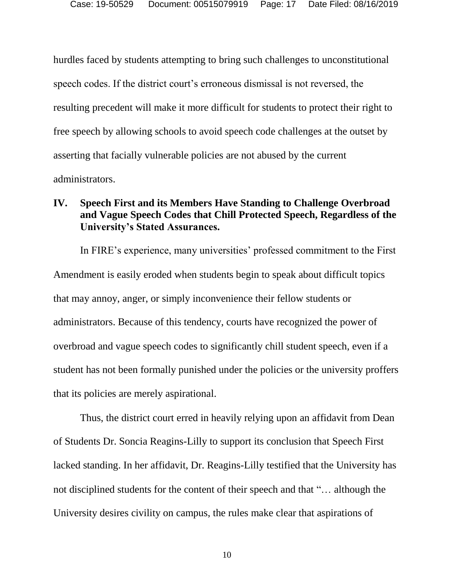hurdles faced by students attempting to bring such challenges to unconstitutional speech codes. If the district court's erroneous dismissal is not reversed, the resulting precedent will make it more difficult for students to protect their right to free speech by allowing schools to avoid speech code challenges at the outset by asserting that facially vulnerable policies are not abused by the current administrators.

#### **IV. Speech First and its Members Have Standing to Challenge Overbroad and Vague Speech Codes that Chill Protected Speech, Regardless of the University's Stated Assurances.**

In FIRE's experience, many universities' professed commitment to the First Amendment is easily eroded when students begin to speak about difficult topics that may annoy, anger, or simply inconvenience their fellow students or administrators. Because of this tendency, courts have recognized the power of overbroad and vague speech codes to significantly chill student speech, even if a student has not been formally punished under the policies or the university proffers that its policies are merely aspirational.

Thus, the district court erred in heavily relying upon an affidavit from Dean of Students Dr. Soncia Reagins-Lilly to support its conclusion that Speech First lacked standing. In her affidavit, Dr. Reagins-Lilly testified that the University has not disciplined students for the content of their speech and that "… although the University desires civility on campus, the rules make clear that aspirations of

10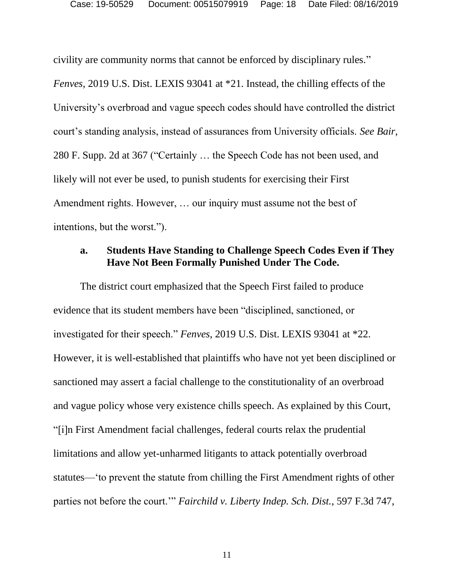civility are community norms that cannot be enforced by disciplinary rules."

*Fenves*, 2019 U.S. Dist. LEXIS 93041 at \*21. Instead, the chilling effects of the University's overbroad and vague speech codes should have controlled the district court's standing analysis, instead of assurances from University officials. *See Bair*, 280 F. Supp. 2d at 367 ("Certainly … the Speech Code has not been used, and likely will not ever be used, to punish students for exercising their First Amendment rights. However, … our inquiry must assume not the best of intentions, but the worst.").

#### **a. Students Have Standing to Challenge Speech Codes Even if They Have Not Been Formally Punished Under The Code.**

The district court emphasized that the Speech First failed to produce evidence that its student members have been "disciplined, sanctioned, or investigated for their speech." *Fenves*, 2019 U.S. Dist. LEXIS 93041 at \*22. However, it is well-established that plaintiffs who have not yet been disciplined or sanctioned may assert a facial challenge to the constitutionality of an overbroad and vague policy whose very existence chills speech. As explained by this Court, "[i]n First Amendment facial challenges, federal courts relax the prudential limitations and allow yet-unharmed litigants to attack potentially overbroad statutes—'to prevent the statute from chilling the First Amendment rights of other parties not before the court.'" *Fairchild v. Liberty Indep. Sch. Dist.*, 597 F.3d 747,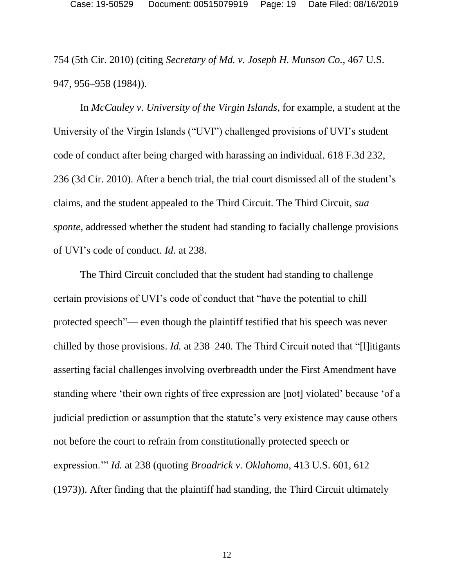754 (5th Cir. 2010) (citing *Secretary of Md. v. Joseph H. Munson Co.*, 467 U.S. 947, 956–958 (1984)).

In *McCauley v. University of the Virgin Islands*, for example, a student at the University of the Virgin Islands ("UVI") challenged provisions of UVI's student code of conduct after being charged with harassing an individual. 618 F.3d 232, 236 (3d Cir. 2010). After a bench trial, the trial court dismissed all of the student's claims, and the student appealed to the Third Circuit*.* The Third Circuit, *sua sponte*, addressed whether the student had standing to facially challenge provisions of UVI's code of conduct. *Id.* at 238.

The Third Circuit concluded that the student had standing to challenge certain provisions of UVI's code of conduct that "have the potential to chill protected speech"— even though the plaintiff testified that his speech was never chilled by those provisions. *Id.* at 238–240. The Third Circuit noted that "[l]itigants asserting facial challenges involving overbreadth under the First Amendment have standing where 'their own rights of free expression are [not] violated' because 'of a judicial prediction or assumption that the statute's very existence may cause others not before the court to refrain from constitutionally protected speech or expression.'" *Id.* at 238 (quoting *Broadrick v. Oklahoma*, 413 U.S. 601, 612 (1973)). After finding that the plaintiff had standing, the Third Circuit ultimately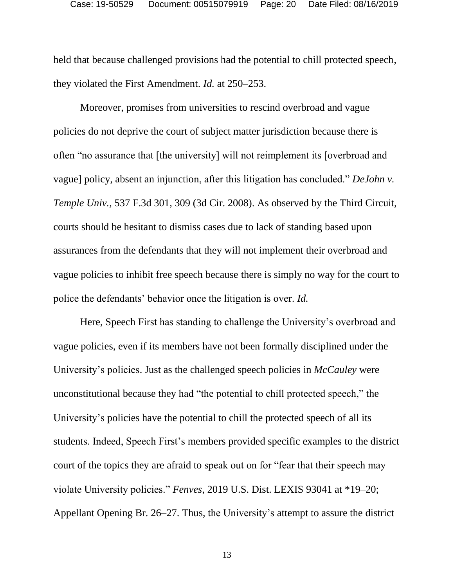held that because challenged provisions had the potential to chill protected speech, they violated the First Amendment. *Id.* at 250–253.

Moreover, promises from universities to rescind overbroad and vague policies do not deprive the court of subject matter jurisdiction because there is often "no assurance that [the university] will not reimplement its [overbroad and vague] policy, absent an injunction, after this litigation has concluded." *DeJohn v. Temple Univ.*, 537 F.3d 301, 309 (3d Cir. 2008). As observed by the Third Circuit, courts should be hesitant to dismiss cases due to lack of standing based upon assurances from the defendants that they will not implement their overbroad and vague policies to inhibit free speech because there is simply no way for the court to police the defendants' behavior once the litigation is over. *Id.*

Here, Speech First has standing to challenge the University's overbroad and vague policies, even if its members have not been formally disciplined under the University's policies. Just as the challenged speech policies in *McCauley* were unconstitutional because they had "the potential to chill protected speech," the University's policies have the potential to chill the protected speech of all its students. Indeed, Speech First's members provided specific examples to the district court of the topics they are afraid to speak out on for "fear that their speech may violate University policies." *Fenves*, 2019 U.S. Dist. LEXIS 93041 at \*19–20; Appellant Opening Br. 26–27. Thus, the University's attempt to assure the district

13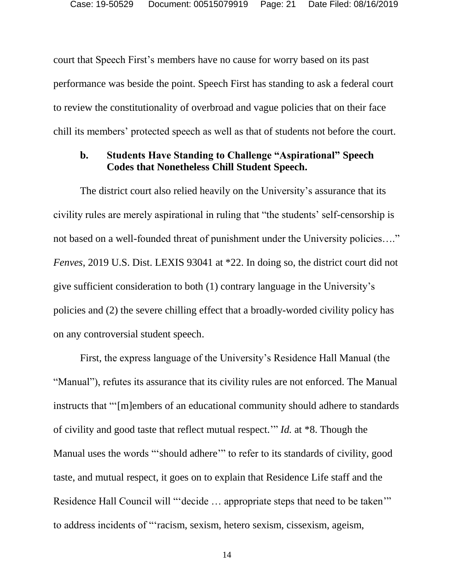court that Speech First's members have no cause for worry based on its past performance was beside the point. Speech First has standing to ask a federal court to review the constitutionality of overbroad and vague policies that on their face chill its members' protected speech as well as that of students not before the court.

#### **b. Students Have Standing to Challenge "Aspirational" Speech Codes that Nonetheless Chill Student Speech.**

The district court also relied heavily on the University's assurance that its civility rules are merely aspirational in ruling that "the students' self-censorship is not based on a well-founded threat of punishment under the University policies…." *Fenves*, 2019 U.S. Dist. LEXIS 93041 at \*22. In doing so, the district court did not give sufficient consideration to both (1) contrary language in the University's policies and (2) the severe chilling effect that a broadly-worded civility policy has on any controversial student speech.

First, the express language of the University's Residence Hall Manual (the "Manual"), refutes its assurance that its civility rules are not enforced. The Manual instructs that "'[m]embers of an educational community should adhere to standards of civility and good taste that reflect mutual respect.'" *Id.* at \*8. Though the Manual uses the words "'should adhere'" to refer to its standards of civility, good taste, and mutual respect, it goes on to explain that Residence Life staff and the Residence Hall Council will "'decide ... appropriate steps that need to be taken'" to address incidents of "'racism, sexism, hetero sexism, cissexism, ageism,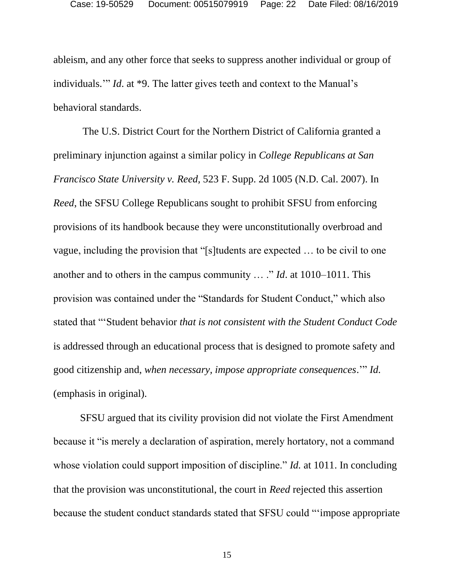ableism, and any other force that seeks to suppress another individual or group of individuals.'" *Id*. at \*9. The latter gives teeth and context to the Manual's behavioral standards.

The U.S. District Court for the Northern District of California granted a preliminary injunction against a similar policy in *College Republicans at San Francisco State University v. Reed,* 523 F. Supp. 2d 1005 (N.D. Cal. 2007). In *Reed*, the SFSU College Republicans sought to prohibit SFSU from enforcing provisions of its handbook because they were unconstitutionally overbroad and vague, including the provision that "[s]tudents are expected … to be civil to one another and to others in the campus community … ." *Id*. at 1010–1011. This provision was contained under the "Standards for Student Conduct," which also stated that "'Student behavior *that is not consistent with the Student Conduct Code* is addressed through an educational process that is designed to promote safety and good citizenship and, *when necessary, impose appropriate consequences*.'" *Id.* (emphasis in original).

SFSU argued that its civility provision did not violate the First Amendment because it "is merely a declaration of aspiration, merely hortatory, not a command whose violation could support imposition of discipline." *Id.* at 1011. In concluding that the provision was unconstitutional, the court in *Reed* rejected this assertion because the student conduct standards stated that SFSU could "'impose appropriate

15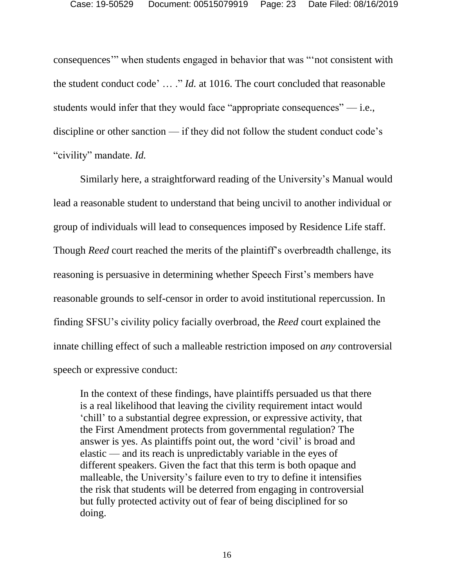consequences'" when students engaged in behavior that was "'not consistent with the student conduct code' … ." *Id.* at 1016. The court concluded that reasonable students would infer that they would face "appropriate consequences"  $-$  i.e., discipline or other sanction — if they did not follow the student conduct code's "civility" mandate. *Id.*

Similarly here, a straightforward reading of the University's Manual would lead a reasonable student to understand that being uncivil to another individual or group of individuals will lead to consequences imposed by Residence Life staff. Though *Reed* court reached the merits of the plaintiff's overbreadth challenge, its reasoning is persuasive in determining whether Speech First's members have reasonable grounds to self-censor in order to avoid institutional repercussion. In finding SFSU's civility policy facially overbroad, the *Reed* court explained the innate chilling effect of such a malleable restriction imposed on *any* controversial speech or expressive conduct:

In the context of these findings, have plaintiffs persuaded us that there is a real likelihood that leaving the civility requirement intact would 'chill' to a substantial degree expression, or expressive activity, that the First Amendment protects from governmental regulation? The answer is yes. As plaintiffs point out, the word 'civil' is broad and elastic — and its reach is unpredictably variable in the eyes of different speakers. Given the fact that this term is both opaque and malleable, the University's failure even to try to define it intensifies the risk that students will be deterred from engaging in controversial but fully protected activity out of fear of being disciplined for so doing.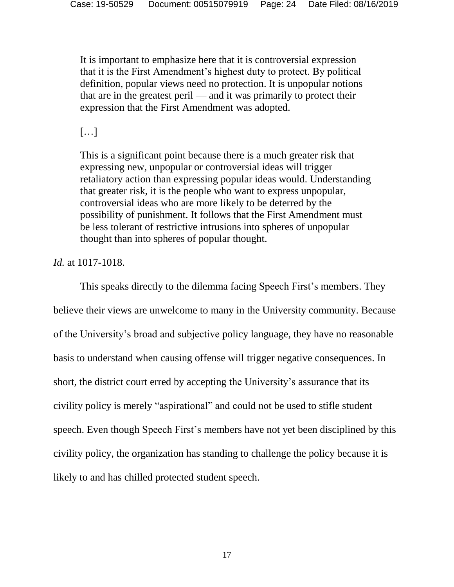It is important to emphasize here that it is controversial expression that it is the First Amendment's highest duty to protect. By political definition, popular views need no protection. It is unpopular notions that are in the greatest peril — and it was primarily to protect their expression that the First Amendment was adopted.

 $\left[\ldots\right]$ 

This is a significant point because there is a much greater risk that expressing new, unpopular or controversial ideas will trigger retaliatory action than expressing popular ideas would. Understanding that greater risk, it is the people who want to express unpopular, controversial ideas who are more likely to be deterred by the possibility of punishment. It follows that the First Amendment must be less tolerant of restrictive intrusions into spheres of unpopular thought than into spheres of popular thought.

#### *Id.* at 1017-1018.

This speaks directly to the dilemma facing Speech First's members. They believe their views are unwelcome to many in the University community. Because of the University's broad and subjective policy language, they have no reasonable basis to understand when causing offense will trigger negative consequences. In short, the district court erred by accepting the University's assurance that its civility policy is merely "aspirational" and could not be used to stifle student speech. Even though Speech First's members have not yet been disciplined by this civility policy, the organization has standing to challenge the policy because it is likely to and has chilled protected student speech.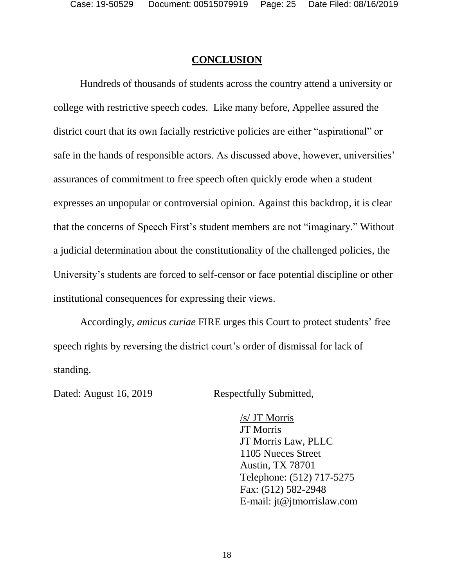#### **CONCLUSION**

Hundreds of thousands of students across the country attend a university or college with restrictive speech codes. Like many before, Appellee assured the district court that its own facially restrictive policies are either "aspirational" or safe in the hands of responsible actors. As discussed above, however, universities' assurances of commitment to free speech often quickly erode when a student expresses an unpopular or controversial opinion. Against this backdrop, it is clear that the concerns of Speech First's student members are not "imaginary." Without a judicial determination about the constitutionality of the challenged policies, the University's students are forced to self-censor or face potential discipline or other institutional consequences for expressing their views.

Accordingly, *amicus curiae* FIRE urges this Court to protect students' free speech rights by reversing the district court's order of dismissal for lack of standing.

Dated: August 16, 2019 Respectfully Submitted,

/s/ JT Morris JT Morris JT Morris Law, PLLC 1105 Nueces Street Austin, TX 78701 Telephone: (512) 717-5275 Fax: (512) 582-2948 E-mail: jt@jtmorrislaw.com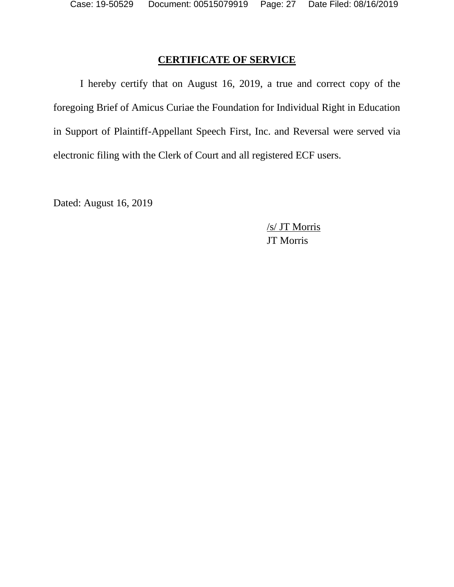### **CERTIFICATE OF SERVICE**

I hereby certify that on August 16, 2019, a true and correct copy of the foregoing Brief of Amicus Curiae the Foundation for Individual Right in Education in Support of Plaintiff-Appellant Speech First, Inc. and Reversal were served via electronic filing with the Clerk of Court and all registered ECF users.

Dated: August 16, 2019

/s/ JT Morris JT Morris